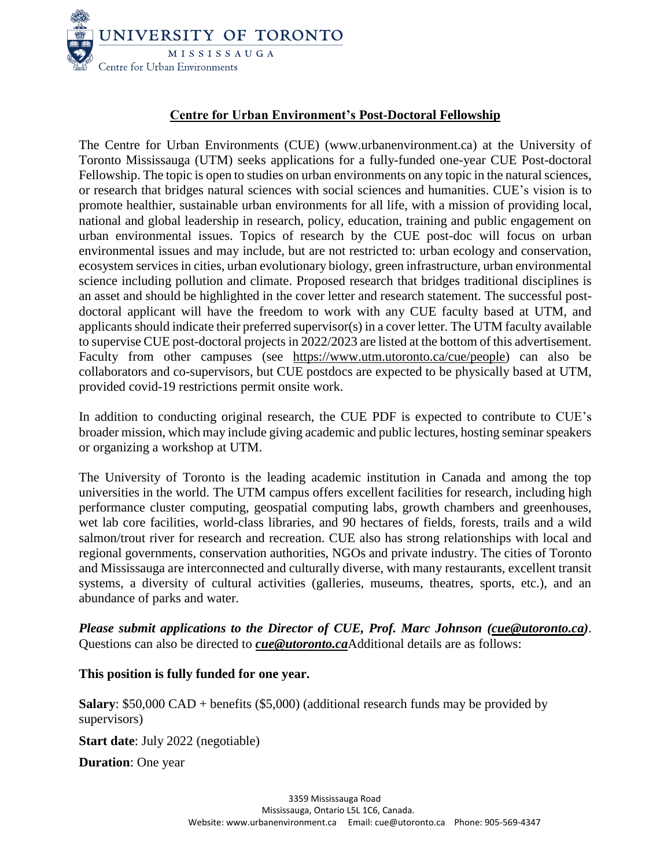

## **Centre for Urban Environment's Post-Doctoral Fellowship**

The Centre for Urban Environments (CUE) [\(www.urbanenvironment.ca\)](http://www.urbanenvironment.ca/) at the University of Toronto Mississauga (UTM) seeks applications for a fully-funded one-year CUE Post-doctoral Fellowship. The topic is open to studies on urban environments on any topic in the natural sciences, or research that bridges natural sciences with social sciences and humanities. CUE's vision is to promote healthier, sustainable urban environments for all life, with a mission of providing local, national and global leadership in research, policy, education, training and public engagement on urban environmental issues. Topics of research by the CUE post-doc will focus on urban environmental issues and may include, but are not restricted to: urban ecology and conservation, ecosystem servicesin cities, urban evolutionary biology, green infrastructure, urban environmental science including pollution and climate. Proposed research that bridges traditional disciplines is an asset and should be highlighted in the cover letter and research statement. The successful postdoctoral applicant will have the freedom to work with any CUE faculty based at UTM, and applicants should indicate their preferred supervisor(s) in a cover letter. The UTM faculty available to supervise CUE post-doctoral projects in 2022/2023 are listed at the bottom of this advertisement. Faculty from other campuses (see https://www.utm.utoronto.ca/cue/people) can also be collaborators and co-supervisors, but CUE postdocs are expected to be physically based at UTM, provided covid-19 restrictions permit onsite work.

In addition to conducting original research, the CUE PDF is expected to contribute to CUE's broader mission, which may include giving academic and public lectures, hosting seminar speakers or organizing a workshop at UTM.

The University of Toronto is the leading academic institution in Canada and among the top universities in the world. The UTM campus offers excellent facilities for research, including high performance cluster computing, geospatial computing labs, growth chambers and greenhouses, wet lab core facilities, world-class libraries, and 90 hectares of fields, forests, trails and a wild salmon/trout river for research and recreation. CUE also has strong relationships with local and regional governments, conservation authorities, NGOs and private industry. The cities of Toronto and Mississauga are interconnected and culturally diverse, with many restaurants, excellent transit systems, a diversity of cultural activities (galleries, museums, theatres, sports, etc.), and an abundance of parks and water.

*Please submit applications to the Director of CUE, Prof. Marc Johnson [\(cue@utoronto.ca\)](mailto:cue@utoronto.ca)*. Questions can also be directed to *[cue@utoronto.ca](mailto:cue@utoronto.ca)*Additional details are as follows:

## **This position is fully funded for one year.**

**Salary**: \$50,000 CAD + benefits (\$5,000) (additional research funds may be provided by supervisors)

**Start date**: July 2022 (negotiable)

**Duration**: One year